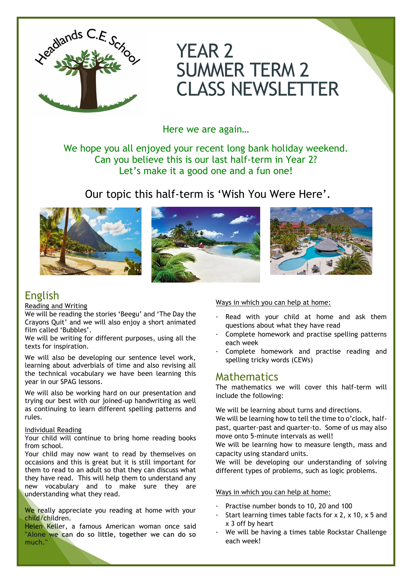

# YEAR 2 SUMMER TERM 2 CLASS NEWSLETTER

Here we are again…

We hope you all enjoyed your recent long bank holiday weekend. Can you believe this is our last half-term in Year 2? Let's make it a good one and a fun one!

Our topic this half-term is 'Wish You Were Here'.







# English

Reading and Writing

We will be reading the stories 'Beegu' and 'The Day the Crayons Quit' and we will also enjoy a short animated film called 'Bubbles'.

We will be writing for different purposes, using all the texts for inspiration.

We will also be developing our sentence level work, learning about adverbials of time and also revising all the technical vocabulary we have been learning this year in our SPAG lessons.

We will also be working hard on our presentation and trying our best with our joined-up handwriting as well as continuing to learn different spelling patterns and rules.

#### Individual Reading

Your child will continue to bring home reading books from school.

Your child may now want to read by themselves on occasions and this is great but it is still important for them to read to an adult so that they can discuss what they have read. This will help them to understand any new vocabulary and to make sure they are understanding what they read.

We really appreciate you reading at home with your child/children.

Helen Keller, a famous American woman once said **"Alone we can do so little, together we can do so much."**

Ways in which you can help at home:

- Read with your child at home and ask them questions about what they have read
- Complete homework and practise spelling patterns each week
- Complete homework and practise reading and spelling tricky words (CEWs)

## **Mathematics**

The mathematics we will cover this half-term will include the following:

We will be learning about turns and directions.

We will be learning how to tell the time to o'clock, halfpast, quarter-past and quarter-to. Some of us may also move onto 5-minute intervals as well!

We will be learning how to measure length, mass and capacity using standard units.

We will be developing our understanding of solving different types of problems, such as logic problems.

#### Ways in which you can help at home:

- Practise number bonds to 10, 20 and 100
- Start learning times table facts for  $x$  2,  $x$  10,  $x$  5 and x 3 off by heart
- We will be having a times table Rockstar Challenge each week!